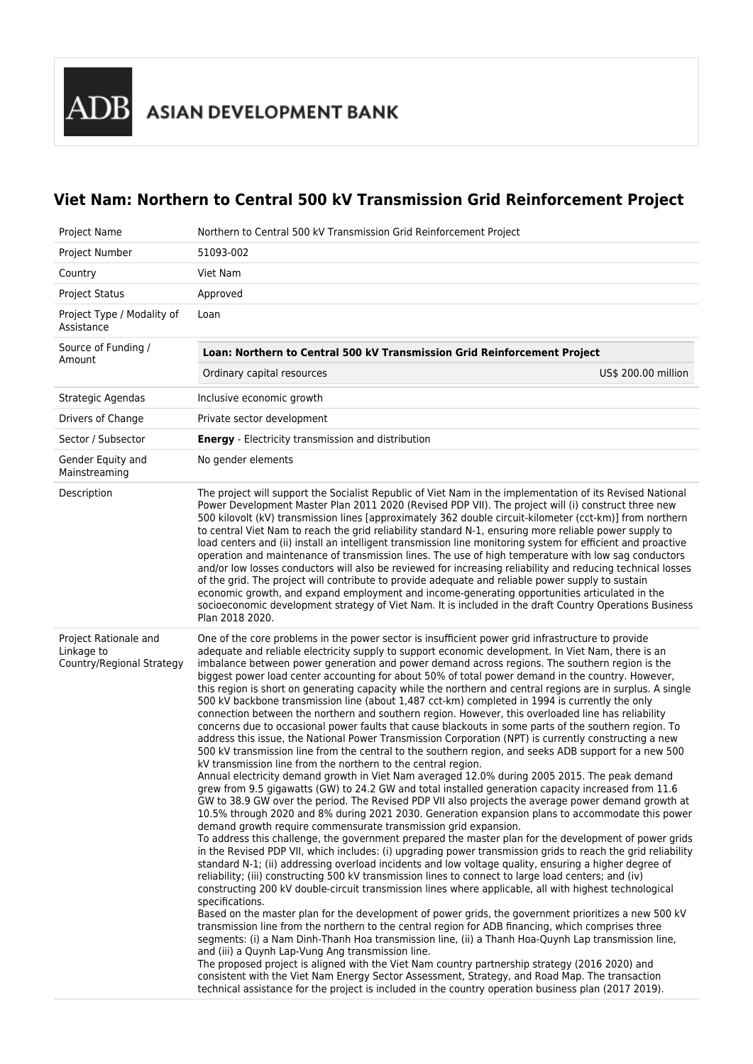## **Viet Nam: Northern to Central 500 kV Transmission Grid Reinforcement Project**

| Project Name                                                     | Northern to Central 500 kV Transmission Grid Reinforcement Project                                                                                                                                                                                                                                                                                                                                                                                                                                                                                                                                                                                                                                                                                                                                                                                                                                                                                                                                                                                                                                                                                                                                                                                                                                                                                                                                                                                                                                                                                                                                                                                                                                                                                                                                                                                                                                                                                                                                                                                                                                                                                                                                                                                                                                                                                                                                                                                                                                                                                                                                                                                                                                                                                                                                                                                                                   |  |  |
|------------------------------------------------------------------|--------------------------------------------------------------------------------------------------------------------------------------------------------------------------------------------------------------------------------------------------------------------------------------------------------------------------------------------------------------------------------------------------------------------------------------------------------------------------------------------------------------------------------------------------------------------------------------------------------------------------------------------------------------------------------------------------------------------------------------------------------------------------------------------------------------------------------------------------------------------------------------------------------------------------------------------------------------------------------------------------------------------------------------------------------------------------------------------------------------------------------------------------------------------------------------------------------------------------------------------------------------------------------------------------------------------------------------------------------------------------------------------------------------------------------------------------------------------------------------------------------------------------------------------------------------------------------------------------------------------------------------------------------------------------------------------------------------------------------------------------------------------------------------------------------------------------------------------------------------------------------------------------------------------------------------------------------------------------------------------------------------------------------------------------------------------------------------------------------------------------------------------------------------------------------------------------------------------------------------------------------------------------------------------------------------------------------------------------------------------------------------------------------------------------------------------------------------------------------------------------------------------------------------------------------------------------------------------------------------------------------------------------------------------------------------------------------------------------------------------------------------------------------------------------------------------------------------------------------------------------------------|--|--|
| Project Number                                                   | 51093-002                                                                                                                                                                                                                                                                                                                                                                                                                                                                                                                                                                                                                                                                                                                                                                                                                                                                                                                                                                                                                                                                                                                                                                                                                                                                                                                                                                                                                                                                                                                                                                                                                                                                                                                                                                                                                                                                                                                                                                                                                                                                                                                                                                                                                                                                                                                                                                                                                                                                                                                                                                                                                                                                                                                                                                                                                                                                            |  |  |
| Country                                                          | Viet Nam                                                                                                                                                                                                                                                                                                                                                                                                                                                                                                                                                                                                                                                                                                                                                                                                                                                                                                                                                                                                                                                                                                                                                                                                                                                                                                                                                                                                                                                                                                                                                                                                                                                                                                                                                                                                                                                                                                                                                                                                                                                                                                                                                                                                                                                                                                                                                                                                                                                                                                                                                                                                                                                                                                                                                                                                                                                                             |  |  |
| <b>Project Status</b>                                            | Approved                                                                                                                                                                                                                                                                                                                                                                                                                                                                                                                                                                                                                                                                                                                                                                                                                                                                                                                                                                                                                                                                                                                                                                                                                                                                                                                                                                                                                                                                                                                                                                                                                                                                                                                                                                                                                                                                                                                                                                                                                                                                                                                                                                                                                                                                                                                                                                                                                                                                                                                                                                                                                                                                                                                                                                                                                                                                             |  |  |
| Project Type / Modality of<br>Assistance                         | Loan                                                                                                                                                                                                                                                                                                                                                                                                                                                                                                                                                                                                                                                                                                                                                                                                                                                                                                                                                                                                                                                                                                                                                                                                                                                                                                                                                                                                                                                                                                                                                                                                                                                                                                                                                                                                                                                                                                                                                                                                                                                                                                                                                                                                                                                                                                                                                                                                                                                                                                                                                                                                                                                                                                                                                                                                                                                                                 |  |  |
| Source of Funding /<br>Amount                                    | Loan: Northern to Central 500 kV Transmission Grid Reinforcement Project                                                                                                                                                                                                                                                                                                                                                                                                                                                                                                                                                                                                                                                                                                                                                                                                                                                                                                                                                                                                                                                                                                                                                                                                                                                                                                                                                                                                                                                                                                                                                                                                                                                                                                                                                                                                                                                                                                                                                                                                                                                                                                                                                                                                                                                                                                                                                                                                                                                                                                                                                                                                                                                                                                                                                                                                             |  |  |
|                                                                  | Ordinary capital resources<br>US\$ 200.00 million                                                                                                                                                                                                                                                                                                                                                                                                                                                                                                                                                                                                                                                                                                                                                                                                                                                                                                                                                                                                                                                                                                                                                                                                                                                                                                                                                                                                                                                                                                                                                                                                                                                                                                                                                                                                                                                                                                                                                                                                                                                                                                                                                                                                                                                                                                                                                                                                                                                                                                                                                                                                                                                                                                                                                                                                                                    |  |  |
| Strategic Agendas                                                | Inclusive economic growth                                                                                                                                                                                                                                                                                                                                                                                                                                                                                                                                                                                                                                                                                                                                                                                                                                                                                                                                                                                                                                                                                                                                                                                                                                                                                                                                                                                                                                                                                                                                                                                                                                                                                                                                                                                                                                                                                                                                                                                                                                                                                                                                                                                                                                                                                                                                                                                                                                                                                                                                                                                                                                                                                                                                                                                                                                                            |  |  |
| Drivers of Change                                                | Private sector development                                                                                                                                                                                                                                                                                                                                                                                                                                                                                                                                                                                                                                                                                                                                                                                                                                                                                                                                                                                                                                                                                                                                                                                                                                                                                                                                                                                                                                                                                                                                                                                                                                                                                                                                                                                                                                                                                                                                                                                                                                                                                                                                                                                                                                                                                                                                                                                                                                                                                                                                                                                                                                                                                                                                                                                                                                                           |  |  |
| Sector / Subsector                                               | <b>Energy</b> - Electricity transmission and distribution                                                                                                                                                                                                                                                                                                                                                                                                                                                                                                                                                                                                                                                                                                                                                                                                                                                                                                                                                                                                                                                                                                                                                                                                                                                                                                                                                                                                                                                                                                                                                                                                                                                                                                                                                                                                                                                                                                                                                                                                                                                                                                                                                                                                                                                                                                                                                                                                                                                                                                                                                                                                                                                                                                                                                                                                                            |  |  |
| Gender Equity and<br>Mainstreaming                               | No gender elements                                                                                                                                                                                                                                                                                                                                                                                                                                                                                                                                                                                                                                                                                                                                                                                                                                                                                                                                                                                                                                                                                                                                                                                                                                                                                                                                                                                                                                                                                                                                                                                                                                                                                                                                                                                                                                                                                                                                                                                                                                                                                                                                                                                                                                                                                                                                                                                                                                                                                                                                                                                                                                                                                                                                                                                                                                                                   |  |  |
| Description                                                      | The project will support the Socialist Republic of Viet Nam in the implementation of its Revised National<br>Power Development Master Plan 2011 2020 (Revised PDP VII). The project will (i) construct three new<br>500 kilovolt (kV) transmission lines [approximately 362 double circuit-kilometer (cct-km)] from northern<br>to central Viet Nam to reach the grid reliability standard N-1, ensuring more reliable power supply to<br>load centers and (ii) install an intelligent transmission line monitoring system for efficient and proactive<br>operation and maintenance of transmission lines. The use of high temperature with low sag conductors<br>and/or low losses conductors will also be reviewed for increasing reliability and reducing technical losses<br>of the grid. The project will contribute to provide adequate and reliable power supply to sustain<br>economic growth, and expand employment and income-generating opportunities articulated in the<br>socioeconomic development strategy of Viet Nam. It is included in the draft Country Operations Business<br>Plan 2018 2020.                                                                                                                                                                                                                                                                                                                                                                                                                                                                                                                                                                                                                                                                                                                                                                                                                                                                                                                                                                                                                                                                                                                                                                                                                                                                                                                                                                                                                                                                                                                                                                                                                                                                                                                                                                    |  |  |
| Project Rationale and<br>Linkage to<br>Country/Regional Strategy | One of the core problems in the power sector is insufficient power grid infrastructure to provide<br>adequate and reliable electricity supply to support economic development. In Viet Nam, there is an<br>imbalance between power generation and power demand across regions. The southern region is the<br>biggest power load center accounting for about 50% of total power demand in the country. However,<br>this region is short on generating capacity while the northern and central regions are in surplus. A single<br>500 kV backbone transmission line (about 1,487 cct-km) completed in 1994 is currently the only<br>connection between the northern and southern region. However, this overloaded line has reliability<br>concerns due to occasional power faults that cause blackouts in some parts of the southern region. To<br>address this issue, the National Power Transmission Corporation (NPT) is currently constructing a new<br>500 kV transmission line from the central to the southern region, and seeks ADB support for a new 500<br>kV transmission line from the northern to the central region.<br>Annual electricity demand growth in Viet Nam averaged 12.0% during 2005 2015. The peak demand<br>grew from 9.5 gigawatts (GW) to 24.2 GW and total installed generation capacity increased from 11.6<br>GW to 38.9 GW over the period. The Revised PDP VII also projects the average power demand growth at<br>10.5% through 2020 and 8% during 2021 2030. Generation expansion plans to accommodate this power<br>demand growth require commensurate transmission grid expansion.<br>To address this challenge, the government prepared the master plan for the development of power grids<br>in the Revised PDP VII, which includes: (i) upgrading power transmission grids to reach the grid reliability<br>standard N-1; (ii) addressing overload incidents and low voltage quality, ensuring a higher degree of<br>reliability; (iii) constructing 500 kV transmission lines to connect to large load centers; and (iv)<br>constructing 200 kV double-circuit transmission lines where applicable, all with highest technological<br>specifications.<br>Based on the master plan for the development of power grids, the government prioritizes a new 500 kV<br>transmission line from the northern to the central region for ADB financing, which comprises three<br>segments: (i) a Nam Dinh-Thanh Hoa transmission line, (ii) a Thanh Hoa-Quynh Lap transmission line,<br>and (iii) a Quynh Lap-Vung Ang transmission line.<br>The proposed project is aligned with the Viet Nam country partnership strategy (2016 2020) and<br>consistent with the Viet Nam Energy Sector Assessment, Strategy, and Road Map. The transaction<br>technical assistance for the project is included in the country operation business plan (2017 2019). |  |  |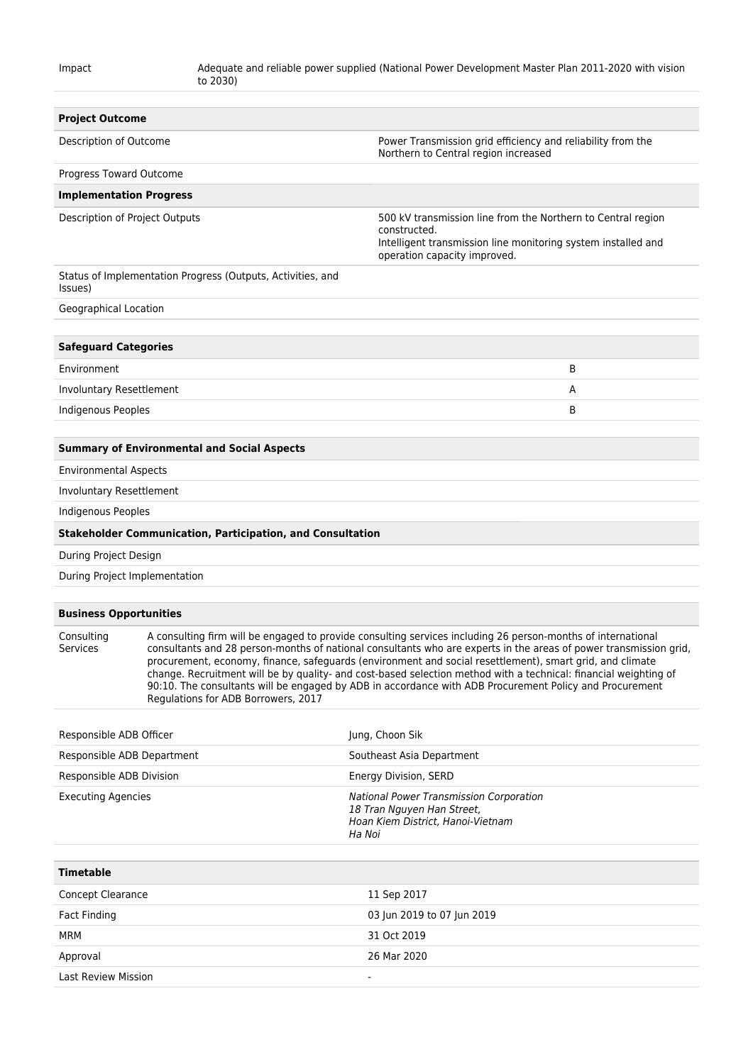| <b>Project Outcome</b>         |                                                                                                                                                                                                                                                                                                                                                                                                                                                                                                                                                                              |                                                                                                                                                                               |
|--------------------------------|------------------------------------------------------------------------------------------------------------------------------------------------------------------------------------------------------------------------------------------------------------------------------------------------------------------------------------------------------------------------------------------------------------------------------------------------------------------------------------------------------------------------------------------------------------------------------|-------------------------------------------------------------------------------------------------------------------------------------------------------------------------------|
| Description of Outcome         |                                                                                                                                                                                                                                                                                                                                                                                                                                                                                                                                                                              | Power Transmission grid efficiency and reliability from the<br>Northern to Central region increased                                                                           |
| Progress Toward Outcome        |                                                                                                                                                                                                                                                                                                                                                                                                                                                                                                                                                                              |                                                                                                                                                                               |
|                                | <b>Implementation Progress</b>                                                                                                                                                                                                                                                                                                                                                                                                                                                                                                                                               |                                                                                                                                                                               |
| Description of Project Outputs |                                                                                                                                                                                                                                                                                                                                                                                                                                                                                                                                                                              | 500 kV transmission line from the Northern to Central region<br>constructed.<br>Intelligent transmission line monitoring system installed and<br>operation capacity improved. |
| Issues)                        | Status of Implementation Progress (Outputs, Activities, and                                                                                                                                                                                                                                                                                                                                                                                                                                                                                                                  |                                                                                                                                                                               |
| Geographical Location          |                                                                                                                                                                                                                                                                                                                                                                                                                                                                                                                                                                              |                                                                                                                                                                               |
| <b>Safeguard Categories</b>    |                                                                                                                                                                                                                                                                                                                                                                                                                                                                                                                                                                              |                                                                                                                                                                               |
| Environment                    |                                                                                                                                                                                                                                                                                                                                                                                                                                                                                                                                                                              | B                                                                                                                                                                             |
| Involuntary Resettlement       |                                                                                                                                                                                                                                                                                                                                                                                                                                                                                                                                                                              | Α                                                                                                                                                                             |
| <b>Indigenous Peoples</b>      |                                                                                                                                                                                                                                                                                                                                                                                                                                                                                                                                                                              | B                                                                                                                                                                             |
|                                | <b>Summary of Environmental and Social Aspects</b>                                                                                                                                                                                                                                                                                                                                                                                                                                                                                                                           |                                                                                                                                                                               |
| <b>Environmental Aspects</b>   |                                                                                                                                                                                                                                                                                                                                                                                                                                                                                                                                                                              |                                                                                                                                                                               |
| Involuntary Resettlement       |                                                                                                                                                                                                                                                                                                                                                                                                                                                                                                                                                                              |                                                                                                                                                                               |
| <b>Indigenous Peoples</b>      |                                                                                                                                                                                                                                                                                                                                                                                                                                                                                                                                                                              |                                                                                                                                                                               |
|                                | <b>Stakeholder Communication, Participation, and Consultation</b>                                                                                                                                                                                                                                                                                                                                                                                                                                                                                                            |                                                                                                                                                                               |
| During Project Design          |                                                                                                                                                                                                                                                                                                                                                                                                                                                                                                                                                                              |                                                                                                                                                                               |
|                                | During Project Implementation                                                                                                                                                                                                                                                                                                                                                                                                                                                                                                                                                |                                                                                                                                                                               |
| <b>Business Opportunities</b>  |                                                                                                                                                                                                                                                                                                                                                                                                                                                                                                                                                                              |                                                                                                                                                                               |
| Consulting<br>Services         | A consulting firm will be engaged to provide consulting services including 26 person-months of international<br>consultants and 28 person-months of national consultants who are experts in the areas of power transmission grid,<br>procurement, economy, finance, safeguards (environment and social resettlement), smart grid, and climate<br>change. Recruitment will be by quality- and cost-based selection method with a technical: financial weighting of<br>90:10. The consultants will be engaged by ADB in accordance with ADB Procurement Policy and Procurement |                                                                                                                                                                               |

| Responsible ADB Officer    | Jung, Choon Sik                                                                                                             |
|----------------------------|-----------------------------------------------------------------------------------------------------------------------------|
| Responsible ADB Department | Southeast Asia Department                                                                                                   |
| Responsible ADB Division   | Energy Division, SERD                                                                                                       |
| <b>Executing Agencies</b>  | <b>National Power Transmission Corporation</b><br>18 Tran Nguyen Han Street,<br>Hoan Kiem District, Hanoi-Vietnam<br>Ha Noi |
| <b>Timetable</b>           |                                                                                                                             |
| <b>Concept Clearance</b>   | 11 Sep 2017                                                                                                                 |
| Fact Finding               | 03 Jun 2019 to 07 Jun 2019                                                                                                  |
| <b>MRM</b>                 | 31 Oct 2019                                                                                                                 |
| Approval                   | 26 Mar 2020                                                                                                                 |
| Last Review Mission        | $\overline{\phantom{a}}$                                                                                                    |

Regulations for ADB Borrowers, 2017